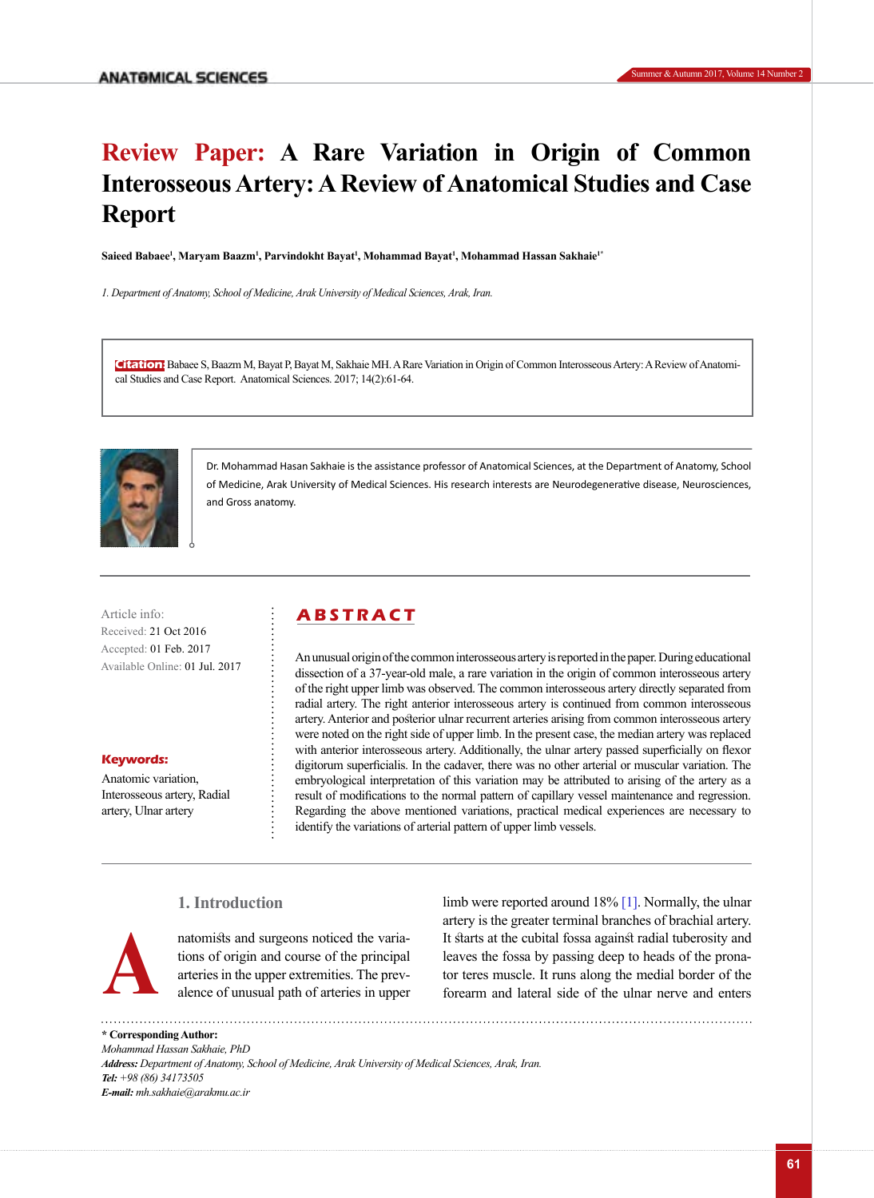# **Review Paper: A Rare Variation in Origin of Common Interosseous Artery: A Review of Anatomical Studies and Case Report**

**Saieed Babaee1 , Maryam Baazm1 , Parvindokht Bayat1 , Mohammad Bayat1 , Mohammad Hassan Sakhaie1\***

*1. Department of Anatomy, School of Medicine, Arak University of Medical Sciences, Arak, Iran.*

**Citation:** Babaee S, Baazm M, Bayat P, Bayat M, Sakhaie MH. A Rare Variation in Origin of Common Interosseous Artery: A Review of Anatomical Studies and Case Report. Anatomical Sciences. 2017; 14(2):61-64.



Dr. Mohammad Hasan Sakhaie is the assistance professor of Anatomical Sciences, at the Department of Anatomy, School of Medicine, Arak University of Medical Sciences. His research interests are Neurodegenerative disease, Neurosciences, and Gross anatomy.

Article info: **ABSTRACT** Received: 21 Oct 2016 Accepted: 01 Feb. 2017 Available Online: 01 Jul. 2017

### **Keywords:**

Anatomic variation, Interosseous artery, Radial artery, Ulnar artery

An unusual origin of the common interosseous artery is reported in the paper. During educational dissection of a 37-year-old male, a rare variation in the origin of common interosseous artery of the right upper limb was observed. The common interosseous artery directly separated from radial artery. The right anterior interosseous artery is continued from common interosseous artery. Anterior and posterior ulnar recurrent arteries arising from common interosseous artery were noted on the right side of upper limb. In the present case, the median artery was replaced with anterior interosseous artery. Additionally, the ulnar artery passed superficially on flexor digitorum superficialis. In the cadaver, there was no other arterial or muscular variation. The embryological interpretation of this variation may be attributed to arising of the artery as a result of modifications to the normal pattern of capillary vessel maintenance and regression. Regarding the above mentioned variations, practical medical experiences are necessary to identify the variations of arterial pattern of upper limb vessels.

# **1. Introduction**



natomists and surgeons noticed the variations of origin and course of the principal arteries in the upper extremities. The prevalence of unusual path of arteries in upper

limb were reported around 18% [\[1\].](#page-3-0) Normally, the ulnar artery is the greater terminal branches of brachial artery. It starts at the cubital fossa against radial tuberosity and leaves the fossa by passing deep to heads of the pronanatomists and surgeons noticed the varia-<br>tis starts at the cubital fossa against radial tuberosity and<br>tions of origin and course of the principal<br>atteries in the upper extremities. The prev-<br>alence of unusual path of art

**\* Corresponding Author:** *Mohammad Hassan Sakhaie, PhD Address: Department of Anatomy, School of Medicine, Arak University of Medical Sciences, Arak, Iran. Tel: +98 (86) 34173505 E-mail: mh.sakhaie@arakmu.ac.ir*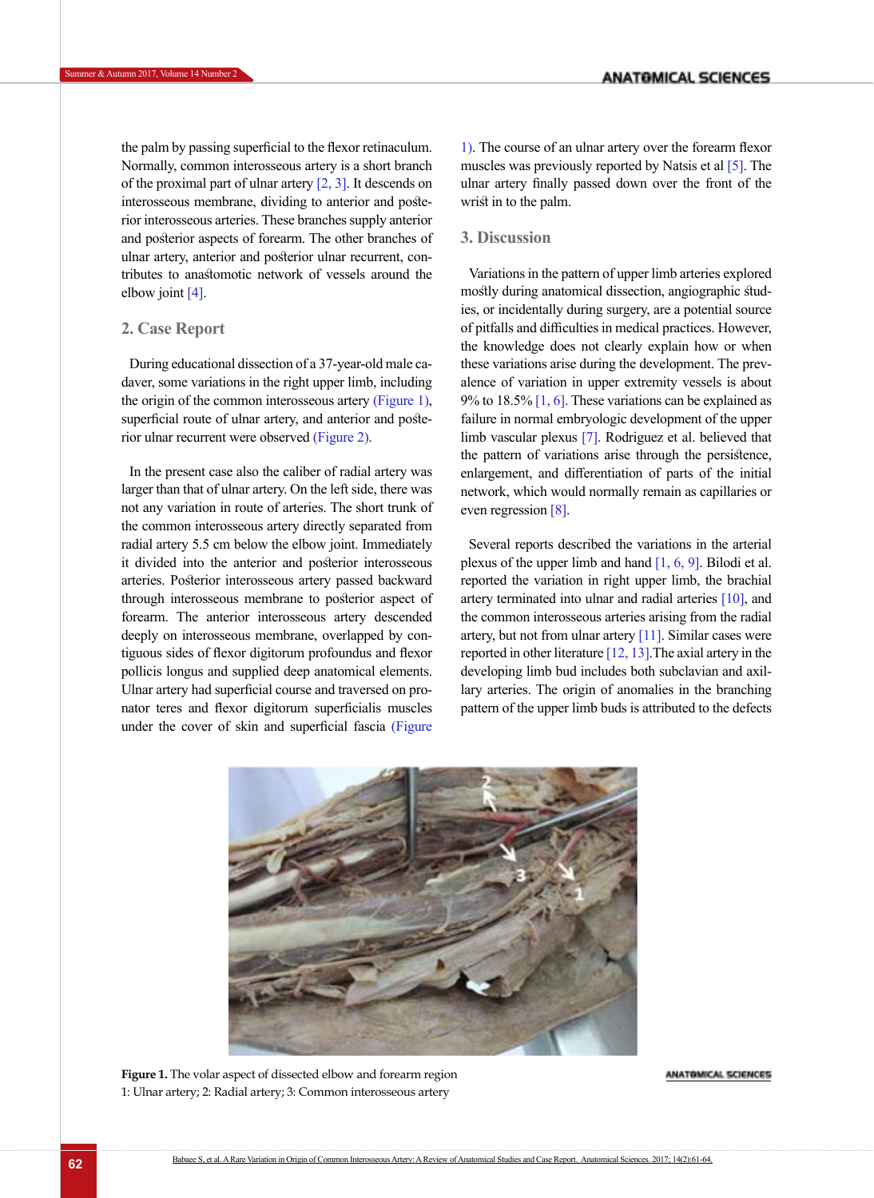the palm by passing superficial to the flexor retinaculum. Normally, common interosseous artery is a short branch of the proximal part of ulnar artery  $[2, 3]$  $[2, 3]$ . It descends on interosseous membrane, dividing to anterior and posterior interosseous arteries. These branches supply anterior and posterior aspects of forearm. The other branches of ulnar artery, anterior and posterior ulnar recurrent, contributes to anastomotic network of vessels around the elbow joint [\[4\].](#page-3-3)

# **2. Case Report**

During educational dissection of a 37-year-old male cadaver, some variations in the right upper limb, including the origin of the common interosseous artery [\(Figure 1\)](#page-1-0), superficial route of ulnar artery, and anterior and posterior ulnar recurrent were observed [\(Figure 2\)](#page-2-0).

In the present case also the caliber of radial artery was larger than that of ulnar artery. On the left side, there was not any variation in route of arteries. The short trunk of the common interosseous artery directly separated from radial artery 5.5 cm below the elbow joint. Immediately it divided into the anterior and posterior interosseous arteries. Posterior interosseous artery passed backward through interosseous membrane to posterior aspect of forearm. The anterior interosseous artery descended deeply on interosseous membrane, overlapped by contiguous sides of flexor digitorum profoundus and flexor pollicis longus and supplied deep anatomical elements. Ulnar artery had superficial course and traversed on pronator teres and flexor digitorum superficialis muscles under the cover of skin and superficial fascia [\(Figure](#page-1-0) 

[1\)](#page-1-0). The course of an ulnar artery over the forearm flexor muscles was previously reported by Natsis et al [\[5\].](#page-3-4) The ulnar artery finally passed down over the front of the wrist in to the palm.

# **3. Discussion**

Variations in the pattern of upper limb arteries explored mostly during anatomical dissection, angiographic studies, or incidentally during surgery, are a potential source of pitfalls and difficulties in medical practices. However, the knowledge does not clearly explain how or when these variations arise during the development. The prevalence of variation in upper extremity vessels is about 9% to 18.5%  $[1, 6]$  $[1, 6]$  $[1, 6]$ . These variations can be explained as failure in normal embryologic development of the upper limb vascular plexus [\[7\]](#page-3-6). Rodriguez et al. believed that the pattern of variations arise through the persistence, enlargement, and differentiation of parts of the initial network, which would normally remain as capillaries or even regression [8].

Several reports described the variations in the arterial plexus of the upper limb and hand  $[1, 6, 9]$  $[1, 6, 9]$  $[1, 6, 9]$  $[1, 6, 9]$ . Bilodi et al. reported the variation in right upper limb, the brachial artery terminated into ulnar and radial arteries [\[10\]](#page-3-7), and the common interosseous arteries arising from the radial artery, but not from ulnar artery [\[11\]](#page-3-8). Similar cases were reported in other literature [\[12,](#page-3-9) [13\]](#page-3-10).The axial artery in the developing limb bud includes both subclavian and axillary arteries. The origin of anomalies in the branching pattern of the upper limb buds is attributed to the defects

<span id="page-1-0"></span>

**Figure 1.** The volar aspect of dissected elbow and forearm region 1: Ulnar artery; 2: Radial artery; 3: Common interosseous artery

#### ANATOMICAL SCIENCES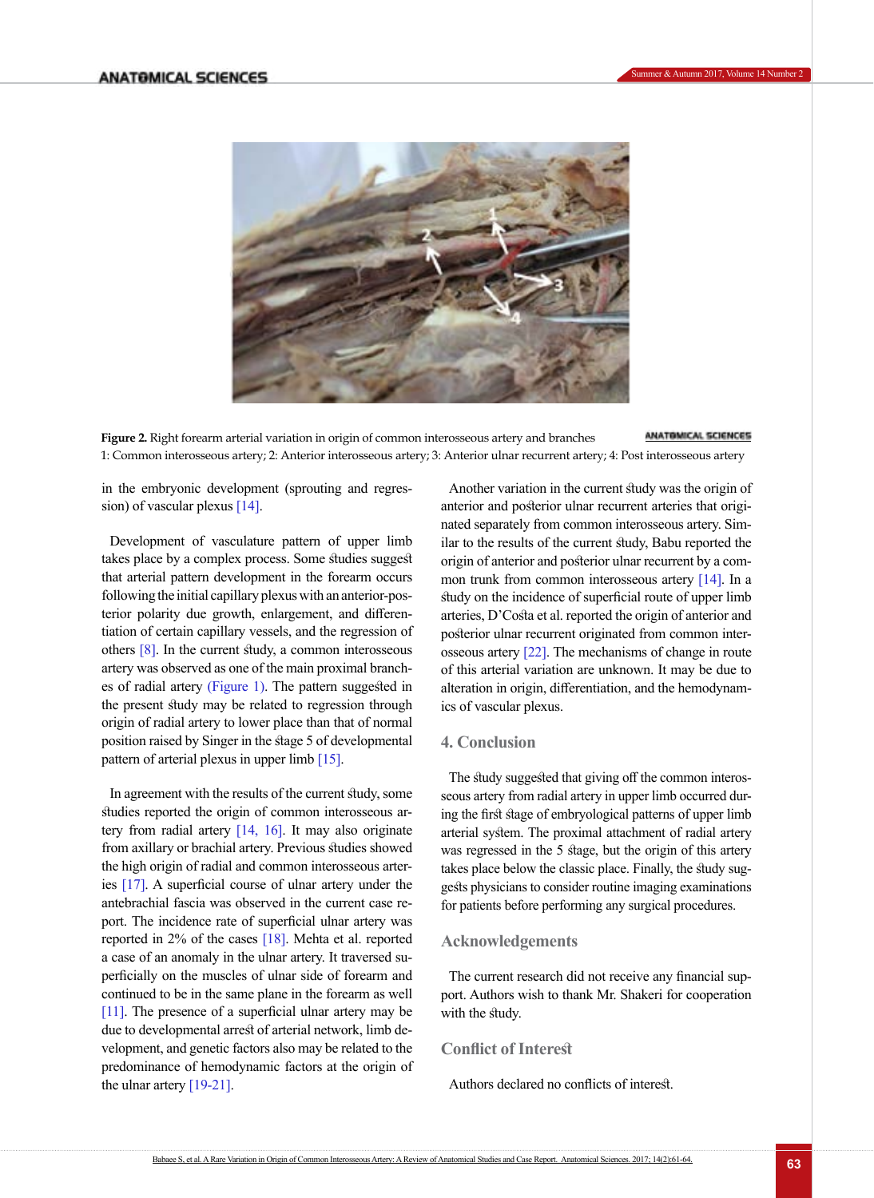

<span id="page-2-0"></span>ANATOMICAL SCIENCES **Figure 2.** Right forearm arterial variation in origin of common interosseous artery and branches 1: Common interosseous artery; 2: Anterior interosseous artery; 3: Anterior ulnar recurrent artery; 4: Post interosseous artery

in the embryonic development (sprouting and regression) of vascular plexus [\[14\].](#page-3-11)

Development of vasculature pattern of upper limb takes place by a complex process. Some studies suggest that arterial pattern development in the forearm occurs following the initial capillary plexus with an anterior-posterior polarity due growth, enlargement, and differentiation of certain capillary vessels, and the regression of others  $[8]$ . In the current study, a common interosseous artery was observed as one of the main proximal branches of radial artery [\(Figure 1\)](#page-1-0). The pattern suggested in the present study may be related to regression through origin of radial artery to lower place than that of normal position raised by Singer in the stage 5 of developmental pattern of arterial plexus in upper limb [\[15\].](#page-3-12)

In agreement with the results of the current study, some studies reported the origin of common interosseous ar-tery from radial artery [\[14,](#page-3-11) [16\]](#page-3-13). It may also originate from axillary or brachial artery. Previous studies showed the high origin of radial and common interosseous arteries [\[17\]](#page-3-14). A superficial course of ulnar artery under the antebrachial fascia was observed in the current case report. The incidence rate of superficial ulnar artery was reported in 2% of the cases [\[18\]](#page-3-15). Mehta et al. reported a case of an anomaly in the ulnar artery. It traversed superficially on the muscles of ulnar side of forearm and continued to be in the same plane in the forearm as well [\[11\]](#page-3-8). The presence of a superficial ulnar artery may be due to developmental arrest of arterial network, limb development, and genetic factors also may be related to the predominance of hemodynamic factors at the origin of the ulnar artery  $[19-21]$ .

Another variation in the current study was the origin of anterior and posterior ulnar recurrent arteries that originated separately from common interosseous artery. Similar to the results of the current study, Babu reported the origin of anterior and posterior ulnar recurrent by a common trunk from common interosseous artery [\[14\]](#page-3-11). In a study on the incidence of superficial route of upper limb arteries, D'Costa et al. reported the origin of anterior and posterior ulnar recurrent originated from common interosseous artery [22]. The mechanisms of change in route of this arterial variation are unknown. It may be due to alteration in origin, differentiation, and the hemodynamics of vascular plexus.

# **4. Conclusion**

The study suggested that giving off the common interosseous artery from radial artery in upper limb occurred during the first stage of embryological patterns of upper limb arterial system. The proximal attachment of radial artery was regressed in the 5 stage, but the origin of this artery takes place below the classic place. Finally, the study suggests physicians to consider routine imaging examinations for patients before performing any surgical procedures.

# **Acknowledgements**

The current research did not receive any financial support. Authors wish to thank Mr. Shakeri for cooperation with the study.

# **Conflict of Interest**

Authors declared no conflicts of interest.